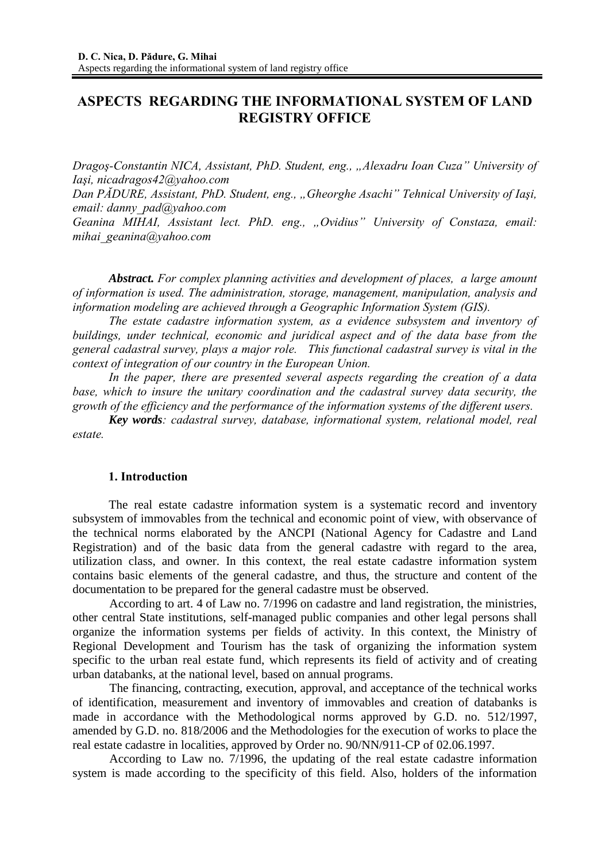# **ASPECTS REGARDING THE INFORMATIONAL SYSTEM OF LAND REGISTRY OFFICE**

*Dragoş-Constantin NICA, Assistant, PhD. Student, eng., "Alexadru Ioan Cuza" University of Iaşi, nicadragos42@yahoo.com*

*Dan PĂDURE, Assistant, PhD. Student, eng., "Gheorghe Asachi" Tehnical University of Iaşi, email: danny\_pad@yahoo.com* 

*Geanina MIHAI, Assistant lect. PhD. eng., "Ovidius" University of Constaza, email: mihai\_geanina@yahoo.com* 

*Abstract. For complex planning activities and development of places, a large amount of information is used. The administration, storage, management, manipulation, analysis and information modeling are achieved through a Geographic Information System (GIS).* 

*The estate cadastre information system, as a evidence subsystem and inventory of buildings, under technical, economic and juridical aspect and of the data base from the general cadastral survey, plays a major role. This functional cadastral survey is vital in the context of integration of our country in the European Union.* 

*In the paper, there are presented several aspects regarding the creation of a data base, which to insure the unitary coordination and the cadastral survey data security, the growth of the efficiency and the performance of the information systems of the different users.* 

 *Key words: cadastral survey, database, informational system, relational model, real estate.*

## **1. Introduction**

The real estate cadastre information system is a systematic record and inventory subsystem of immovables from the technical and economic point of view, with observance of the technical norms elaborated by the ANCPI (National Agency for Cadastre and Land Registration) and of the basic data from the general cadastre with regard to the area, utilization class, and owner. In this context, the real estate cadastre information system contains basic elements of the general cadastre, and thus, the structure and content of the documentation to be prepared for the general cadastre must be observed.

According to art. 4 of Law no. 7/1996 on cadastre and land registration, the ministries, other central State institutions, self-managed public companies and other legal persons shall organize the information systems per fields of activity. In this context, the Ministry of Regional Development and Tourism has the task of organizing the information system specific to the urban real estate fund, which represents its field of activity and of creating urban databanks, at the national level, based on annual programs.

The financing, contracting, execution, approval, and acceptance of the technical works of identification, measurement and inventory of immovables and creation of databanks is made in accordance with the Methodological norms approved by G.D. no. 512/1997, amended by G.D. no. 818/2006 and the Methodologies for the execution of works to place the real estate cadastre in localities, approved by Order no. 90/NN/911-CP of 02.06.1997.

According to Law no. 7/1996, the updating of the real estate cadastre information system is made according to the specificity of this field. Also, holders of the information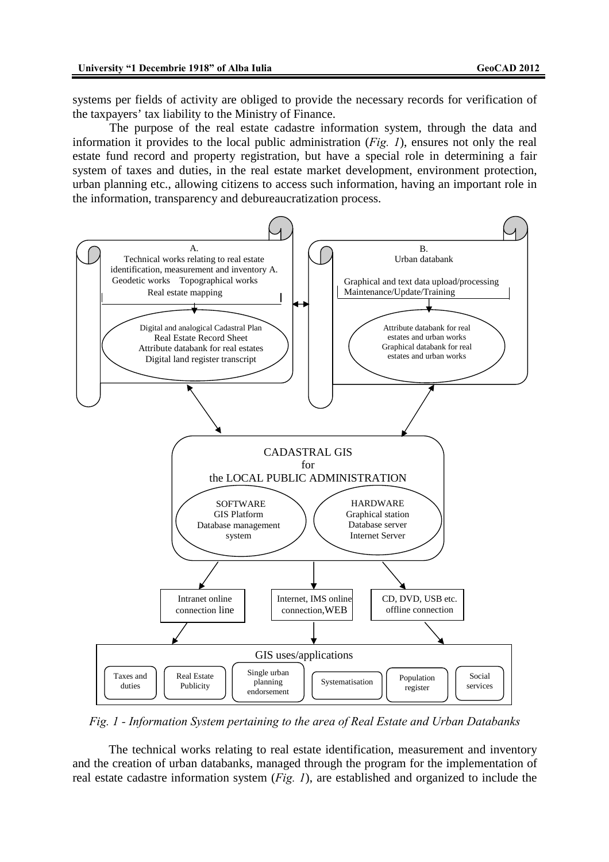systems per fields of activity are obliged to provide the necessary records for verification of the taxpayers' tax liability to the Ministry of Finance.

The purpose of the real estate cadastre information system, through the data and information it provides to the local public administration (*Fig. 1*), ensures not only the real estate fund record and property registration, but have a special role in determining a fair system of taxes and duties, in the real estate market development, environment protection, urban planning etc., allowing citizens to access such information, having an important role in the information, transparency and debureaucratization process.



*Fig. 1 - Information System pertaining to the area of Real Estate and Urban Databanks* 

The technical works relating to real estate identification, measurement and inventory and the creation of urban databanks, managed through the program for the implementation of real estate cadastre information system (*Fig. 1*), are established and organized to include the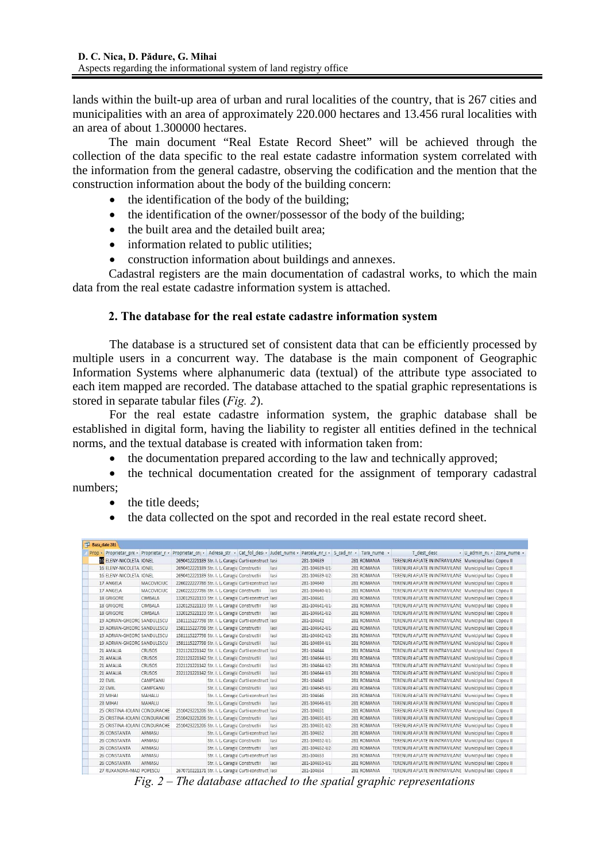lands within the built-up area of urban and rural localities of the country, that is 267 cities and municipalities with an area of approximately 220.000 hectares and 13.456 rural localities with an area of about 1.300000 hectares.

The main document "Real Estate Record Sheet" will be achieved through the collection of the data specific to the real estate cadastre information system correlated with the information from the general cadastre, observing the codification and the mention that the construction information about the body of the building concern:

- the identification of the body of the building;
- the identification of the owner/possessor of the body of the building;
- the built area and the detailed built area:
- information related to public utilities;
- construction information about buildings and annexes.

Cadastral registers are the main documentation of cadastral works, to which the main data from the real estate cadastre information system is attached.

## **2. The database for the real estate cadastre information system**

The database is a structured set of consistent data that can be efficiently processed by multiple users in a concurrent way. The database is the main component of Geographic Information Systems where alphanumeric data (textual) of the attribute type associated to each item mapped are recorded. The database attached to the spatial graphic representations is stored in separate tabular files (*Fig. 2*).

For the real estate cadastre information system, the graphic database shall be established in digital form, having the liability to register all entities defined in the technical norms, and the textual database is created with information taken from:

• the documentation prepared according to the law and technically approved;

• the technical documentation created for the assignment of temporary cadastral numbers;

- the title deeds:
- the data collected on the spot and recorded in the real estate record sheet.

| Baza_date 281                      |                   |                                                                                                |                                         |      |                |                                       |                                                         |                            |  |
|------------------------------------|-------------------|------------------------------------------------------------------------------------------------|-----------------------------------------|------|----------------|---------------------------------------|---------------------------------------------------------|----------------------------|--|
|                                    |                   | Prop - Proprietar pre - Proprietar r - Proprietar cn - Adresa str - Cat fol des - Judet nume - |                                         |      |                | Parcela nr ( v S cad nr v Tara nume v | T dest desc                                             | • U admin nt • Zona nume • |  |
| <b>IG ELENY-NICOLETA IONEL</b>     |                   | 2690412221189 Str. I. L. Caragia Curti construct lasi                                          |                                         |      | 281-104639     | 281 ROMANIA                           | TERENURI AFLATE IN INTRAVILANE Municipiul Iasi Copou II |                            |  |
| 16 ELENY-NICOLETA IONEL            |                   | 2690412221189 Str. I. L. Caragia Constructii                                                   |                                         | lasi | 281-104639-U1- | 281 ROMANIA                           | TERENURI AFLATE IN INTRAVILANE Municipiul Iasi Copou II |                            |  |
| 16 ELENY-NICOLETA IONEL            |                   | 2690412221189 Str. I. L. Caragia Constructii                                                   |                                         | lasi | 281-104639-U2- | 281 ROMANIA                           | TERENURI AFLATE IN INTRAVILANE Municipiul Iasi Copou II |                            |  |
| 17 ANGELA                          | <b>MACOVICIUC</b> | 2260222227786 Str. I. L. Caragia Curti construct lasi                                          |                                         |      | 281-104640     | 281 ROMANIA                           | TERENURI AFLATE IN INTRAVILANE Municipiul Iasi Copou II |                            |  |
| 17 ANGELA                          | <b>MACOVICIUC</b> | 2260222227786 Str. I. L. Caragia Constructii                                                   |                                         | lasi | 281-104640-U1- | 281 ROMANIA                           | TERENURI AFLATE IN INTRAVILANE Municipiul lasi Copou II |                            |  |
| <b>18 GRIGORE</b>                  | CIMBALA           | 1320129221133 Str. I. L. Caragia Curti construct lasi                                          |                                         |      | 281-104641     | 281 ROMANIA                           | TERENURI AFLATE IN INTRAVILANE Municipiul Iasi Copou II |                            |  |
| 18 GRIGORE                         | <b>CIMBALA</b>    | 1320129221133 Str. I. L. Caragia Constructii                                                   |                                         | lasi | 281-104641-U1- | 281 ROMANIA                           | TERENURI AFLATE IN INTRAVILANE Municipiul Iasi Copou II |                            |  |
| <b>18 GRIGORE</b>                  | CIMBALA           | 1320129221133 Str. I. L. Caragia Constructii                                                   |                                         | lasi | 281-104641-U2- | 281 ROMANIA                           | TERENURI AFLATE IN INTRAVILANE Municipiul Iasi Copou II |                            |  |
| <b>19 ADRIAN-GHEORG SANDULESCU</b> |                   | 1581115227798 Str. I. L. Caragia Curti construct lasi                                          |                                         |      | 281-104642     | 281 ROMANIA                           | TERENURI AFLATE IN INTRAVILANE Municipiul lasi Copou II |                            |  |
| 19 ADRIAN-GHEORG SANDULESCU        |                   | 1581115227798 Str. I. L. Caragia Constructii                                                   |                                         | lasi | 281-104642-U1- | 281 ROMANIA                           | TERENURI AFLATE IN INTRAVILANE Municipiul Iasi Copou II |                            |  |
| 19 ADRIAN-GHEORG SANDULESCU        |                   | 1581115227798 Str. I. L. Caragia Constructii                                                   |                                         | lasi | 281-104642-U2- | 281 ROMANIA                           | TERENURI AFLATE IN INTRAVILANE Municipiul Iasi Copou II |                            |  |
| 19 ADRIAN-GHEORG SANDULESCU        |                   | 1581115227798 Str. I. L. Caragia Constructii                                                   |                                         | lasi | 281-104694-U1- | 281 ROMANIA                           | TERENURI AFLATE IN INTRAVILANE Municipiul Iasi Copou II |                            |  |
| 21 AMALIA                          | CRUSOS            | 2321121221142 Str. I. L. Caragia Curti construct lasi                                          |                                         |      | 281-104644     | 281 ROMANIA                           | TERENURI AFLATE IN INTRAVILANE Municipiul lasi Copou II |                            |  |
| 21 AMALIA                          | <b>CRUSOS</b>     | 2321121221142 Str. I. L. Caragia Constructii                                                   |                                         | lasi | 281-104644-U1- | 281 ROMANIA                           | TERENURI AFLATE IN INTRAVILANE Municipiul Iasi Copou II |                            |  |
| 21 AMALIA                          | <b>CRUSOS</b>     | 2321121221142 Str. I. L. Caragia Constructii                                                   |                                         | lasi | 281-104644-U2- | 281 ROMANIA                           | TERENURI AFLATE IN INTRAVILANE Municipiul Iasi Copou II |                            |  |
| 21 AMALIA                          | <b>CRUSOS</b>     | 2321121221142 Str. I. L. Caragia Constructii                                                   |                                         | lasi | 281-104644-U3- | 281 ROMANIA                           | TERENURI AFLATE IN INTRAVILANE Municipiul Iasi Copou II |                            |  |
| 22 EMIL                            | CAMPFANU          |                                                                                                | Str. I. L. Caragia Curti construct lasi |      | 281-104645     | 281 ROMANIA                           | TERENURI AFLATE IN INTRAVILANE Municipiul lasi Copou II |                            |  |
| 22 EMIL                            | CAMPEANU          | Str. I. L. Caragia Constructii                                                                 |                                         | lasi | 281-104645-U1- | 281 ROMANIA                           | TERENURI AFLATE IN INTRAVILANE Municipiul Iasi Copou II |                            |  |
| 23 MIHAI                           | MAHALU            |                                                                                                | Str. I. L. Caragia Curti construct lasi |      | 281-104646     | 281 ROMANIA                           | TERENURI AFLATE IN INTRAVILANE Municipiul Iasi Copou II |                            |  |
| 23 MIHAI                           | <b>MAHALU</b>     | Str. I. L. Caragia Constructii                                                                 |                                         | lasi | 281-104646-U1- | 281 ROMANIA                           | TERENURI AFLATE IN INTRAVILANE Municipiul Iasi Copou II |                            |  |
| 25 CRISTINA-IOLANI CONDURACHE      |                   | 2510423221206 Str. I. L. Caragia Curti construct lasi                                          |                                         |      | 281-104651     | 281 ROMANIA                           | TERENURI AFLATE IN INTRAVILANE Municipiul lasi Copou II |                            |  |
| 25 CRISTINA-IOLANI CONDURACHE      |                   | 2510423221206 Str. I. L. Caragia Constructii                                                   |                                         | lasi | 281-104651-U1- | 281 ROMANIA                           | TERENURI AFLATE IN INTRAVILANE Municipiul Iasi Copou II |                            |  |
| 25 CRISTINA-IOLANI CONDURACHE      |                   | 2510423221206 Str. I. L. Caragia Constructii                                                   |                                         | lasi | 281-104651-U2- | 281 ROMANIA                           | TERENURI AFLATE IN INTRAVILANE Municipiul Iasi Copou II |                            |  |
| 26 CONSTANTA                       | ARMASU            |                                                                                                | Str. I. L. Caragia Curti construct lasi |      | 281-104652     | 281 ROMANIA                           | TERENURI AFLATE IN INTRAVILANE Municipiul Iasi Copou II |                            |  |
| 26 CONSTANTA                       | ARMASU            | Str. I. L. Caragia Constructii                                                                 |                                         | lasi | 281-104652-U1- | 281 ROMANIA                           | TERENURI AFLATE IN INTRAVILANE Municipiul Iasi Copou II |                            |  |
| 26 CONSTANTA                       | ARMASU            | Str. I. L. Caragia Constructii                                                                 |                                         | lasi | 281-104652-U2- | 281 ROMANIA                           | TERENURI AFLATE IN INTRAVILANE Municipiul Iasi Copou II |                            |  |
| 26 CONSTANTA                       | ARMASU            |                                                                                                | Str. I. L. Caragia Curti construct lasi |      | 281-104653     | 281 ROMANIA                           | TERENURI AFLATE IN INTRAVILANE Municipiul Iasi Copou II |                            |  |
| 26 CONSTANTA                       | ARMASU            | Str. I. L. Caragia Constructii                                                                 |                                         | lasi | 281-104653-U1- | 281 ROMANIA                           | TERENURI AFLATE IN INTRAVILANE Municipiul Iasi Copou II |                            |  |
| 27 RUXANDRA-MAD POPESCU            |                   | 2670710221171 Str. I. L. Caragia Curti construct lasi                                          |                                         |      | 281-104654     | 281 ROMANIA                           | TERENURI AFLATE IN INTRAVILANE Municipiul Iasi Copou II |                            |  |

*Fig. 2 – The database attached to the spatial graphic representations*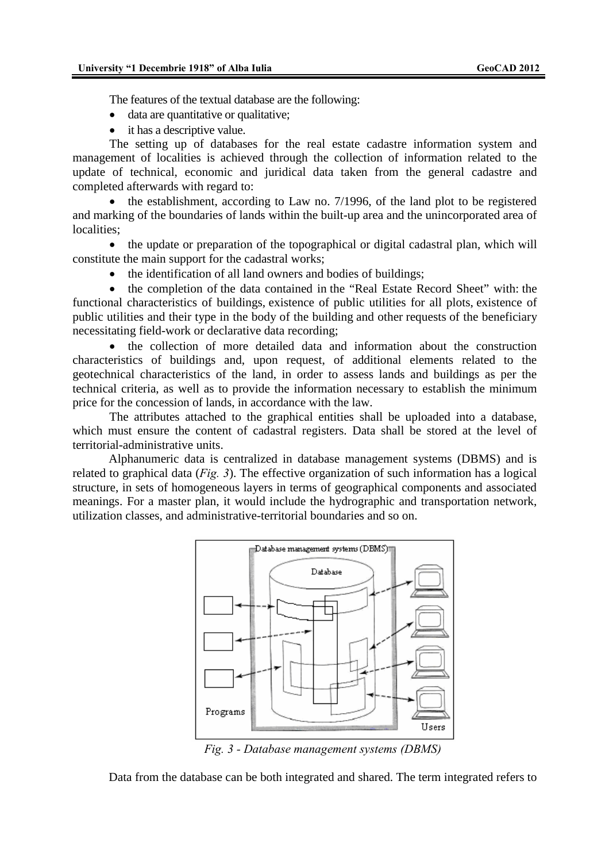The features of the textual database are the following:

- data are quantitative or qualitative;
- it has a descriptive value.

The setting up of databases for the real estate cadastre information system and management of localities is achieved through the collection of information related to the update of technical, economic and juridical data taken from the general cadastre and completed afterwards with regard to:

the establishment, according to Law no. 7/1996, of the land plot to be registered and marking of the boundaries of lands within the built-up area and the unincorporated area of localities:

• the update or preparation of the topographical or digital cadastral plan, which will constitute the main support for the cadastral works;

• the identification of all land owners and bodies of buildings;

• the completion of the data contained in the "Real Estate Record Sheet" with: the functional characteristics of buildings, existence of public utilities for all plots, existence of public utilities and their type in the body of the building and other requests of the beneficiary necessitating field-work or declarative data recording;

• the collection of more detailed data and information about the construction characteristics of buildings and, upon request, of additional elements related to the geotechnical characteristics of the land, in order to assess lands and buildings as per the technical criteria, as well as to provide the information necessary to establish the minimum price for the concession of lands, in accordance with the law.

The attributes attached to the graphical entities shall be uploaded into a database, which must ensure the content of cadastral registers. Data shall be stored at the level of territorial-administrative units.

Alphanumeric data is centralized in database management systems (DBMS) and is related to graphical data (*Fig. 3*). The effective organization of such information has a logical structure, in sets of homogeneous layers in terms of geographical components and associated meanings. For a master plan, it would include the hydrographic and transportation network, utilization classes, and administrative-territorial boundaries and so on.



*Fig. 3 - Database management systems (DBMS)*

Data from the database can be both integrated and shared. The term integrated refers to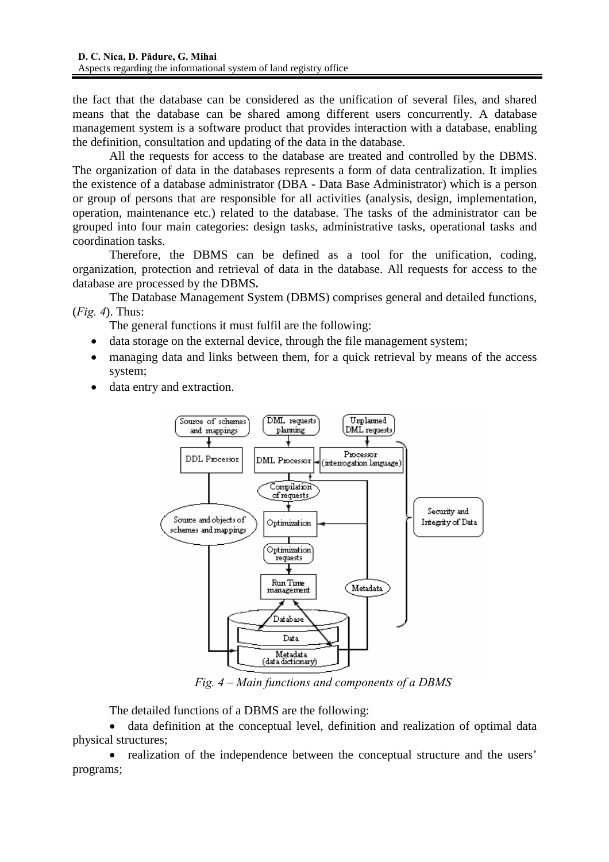the fact that the database can be considered as the unification of several files, and shared means that the database can be shared among different users concurrently. A database management system is a software product that provides interaction with a database, enabling the definition, consultation and updating of the data in the database.

All the requests for access to the database are treated and controlled by the DBMS. The organization of data in the databases represents a form of data centralization. It implies the existence of a database administrator (DBA - Data Base Administrator) which is a person or group of persons that are responsible for all activities (analysis, design, implementation, operation, maintenance etc.) related to the database. The tasks of the administrator can be grouped into four main categories: design tasks, administrative tasks, operational tasks and coordination tasks.

Therefore, the DBMS can be defined as a tool for the unification, coding, organization, protection and retrieval of data in the database. All requests for access to the database are processed by the DBMS*.*

The Database Management System (DBMS) comprises general and detailed functions, (*Fig. 4*). Thus:

The general functions it must fulfil are the following:

- data storage on the external device, through the file management system;
- managing data and links between them, for a quick retrieval by means of the access system;
- data entry and extraction.



*Fig. 4 – Main functions and components of a DBMS*

The detailed functions of a DBMS are the following:

• data definition at the conceptual level, definition and realization of optimal data physical structures;

• realization of the independence between the conceptual structure and the users' programs;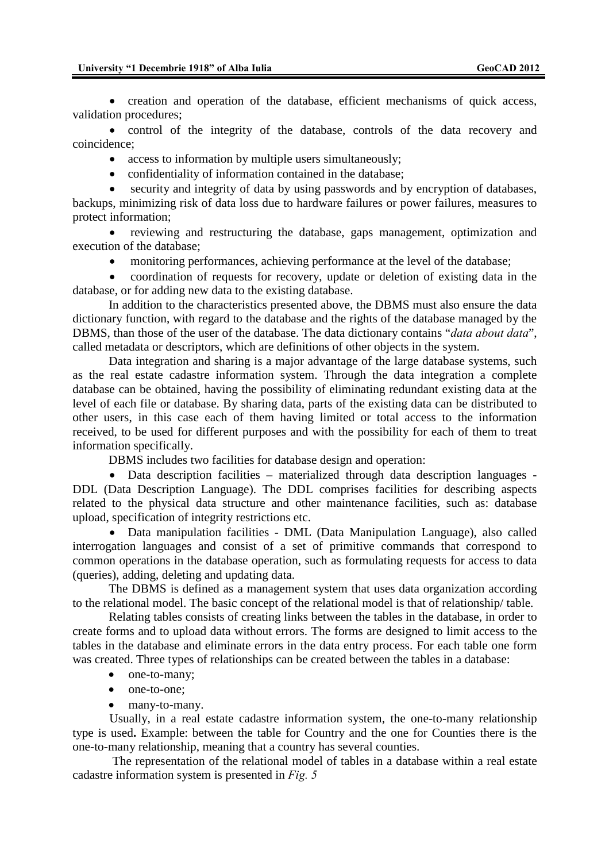• creation and operation of the database, efficient mechanisms of quick access, validation procedures;

• control of the integrity of the database, controls of the data recovery and coincidence;

access to information by multiple users simultaneously;

• confidentiality of information contained in the database;

• security and integrity of data by using passwords and by encryption of databases, backups, minimizing risk of data loss due to hardware failures or power failures, measures to protect information;

• reviewing and restructuring the database, gaps management, optimization and execution of the database;

monitoring performances, achieving performance at the level of the database;

• coordination of requests for recovery, update or deletion of existing data in the database, or for adding new data to the existing database.

In addition to the characteristics presented above, the DBMS must also ensure the data dictionary function, with regard to the database and the rights of the database managed by the DBMS, than those of the user of the database. The data dictionary contains "*data about data*", called metadata or descriptors, which are definitions of other objects in the system.

Data integration and sharing is a major advantage of the large database systems, such as the real estate cadastre information system. Through the data integration a complete database can be obtained, having the possibility of eliminating redundant existing data at the level of each file or database. By sharing data, parts of the existing data can be distributed to other users, in this case each of them having limited or total access to the information received, to be used for different purposes and with the possibility for each of them to treat information specifically.

DBMS includes two facilities for database design and operation:

• Data description facilities – materialized through data description languages - DDL (Data Description Language). The DDL comprises facilities for describing aspects related to the physical data structure and other maintenance facilities, such as: database upload, specification of integrity restrictions etc.

• Data manipulation facilities - DML (Data Manipulation Language), also called interrogation languages and consist of a set of primitive commands that correspond to common operations in the database operation, such as formulating requests for access to data (queries), adding, deleting and updating data.

The DBMS is defined as a management system that uses data organization according to the relational model. The basic concept of the relational model is that of relationship/ table.

Relating tables consists of creating links between the tables in the database, in order to create forms and to upload data without errors. The forms are designed to limit access to the tables in the database and eliminate errors in the data entry process. For each table one form was created. Three types of relationships can be created between the tables in a database:

- one-to-many;
- one-to-one:
- many-to-many.

 Usually, in a real estate cadastre information system, the one-to-many relationship type is used**.** Example: between the table for Country and the one for Counties there is the one-to-many relationship, meaning that a country has several counties.

The representation of the relational model of tables in a database within a real estate cadastre information system is presented in *Fig. 5*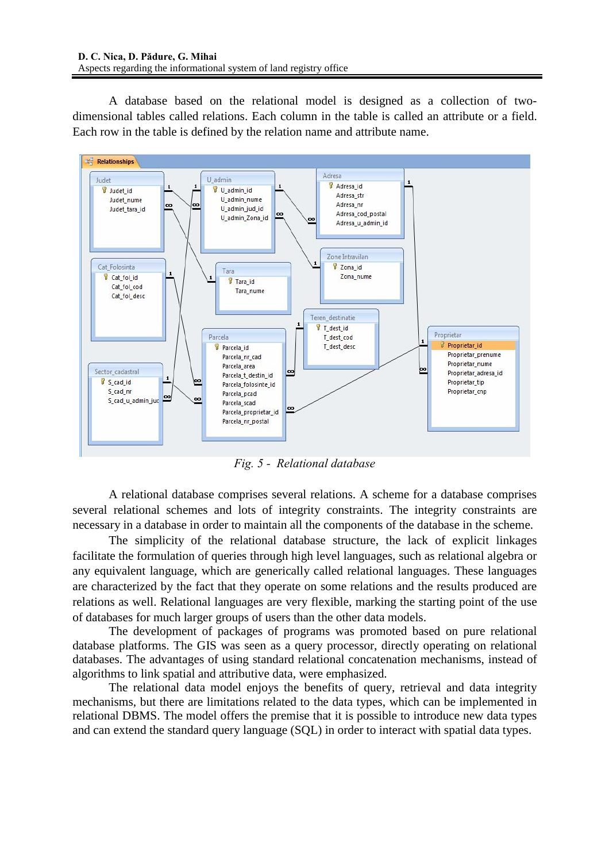A database based on the relational model is designed as a collection of twodimensional tables called relations. Each column in the table is called an attribute or a field. Each row in the table is defined by the relation name and attribute name.



*Fig. 5 - Relational database* 

A relational database comprises several relations. A scheme for a database comprises several relational schemes and lots of integrity constraints. The integrity constraints are necessary in a database in order to maintain all the components of the database in the scheme.

The simplicity of the relational database structure, the lack of explicit linkages facilitate the formulation of queries through high level languages, such as relational algebra or any equivalent language, which are generically called relational languages. These languages are characterized by the fact that they operate on some relations and the results produced are relations as well. Relational languages are very flexible, marking the starting point of the use of databases for much larger groups of users than the other data models.

The development of packages of programs was promoted based on pure relational database platforms. The GIS was seen as a query processor, directly operating on relational databases. The advantages of using standard relational concatenation mechanisms, instead of algorithms to link spatial and attributive data, were emphasized.

The relational data model enjoys the benefits of query, retrieval and data integrity mechanisms, but there are limitations related to the data types, which can be implemented in relational DBMS. The model offers the premise that it is possible to introduce new data types and can extend the standard query language (SQL) in order to interact with spatial data types.